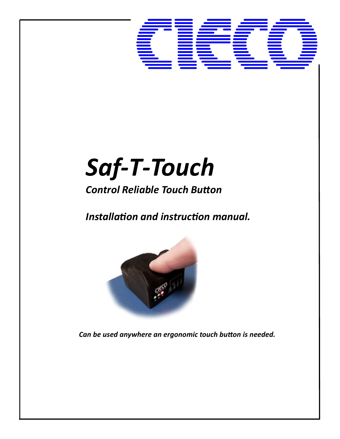

# *Saf-T-Touch*

# *Control Reliable Touch Button*

*Installation and instruction manual.*



*Can be used anywhere an ergonomic touch button is needed.*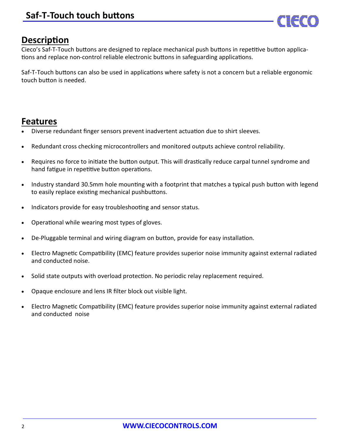

# **Description**

Cieco's Saf-T-Touch buttons are designed to replace mechanical push buttons in repetitive button applications and replace non-control reliable electronic buttons in safeguarding applications.

Saf-T-Touch buttons can also be used in applications where safety is not a concern but a reliable ergonomic touch button is needed.

# **Features**

- Diverse redundant finger sensors prevent inadvertent actuation due to shirt sleeves.
- Redundant cross checking microcontrollers and monitored outputs achieve control reliability.
- Requires no force to initiate the button output. This will drastically reduce carpal tunnel syndrome and hand fatigue in repetitive button operations.
- Industry standard 30.5mm hole mounting with a footprint that matches a typical push button with legend to easily replace existing mechanical pushbuttons.
- Indicators provide for easy troubleshooting and sensor status.
- Operational while wearing most types of gloves.
- De-Pluggable terminal and wiring diagram on button, provide for easy installation.
- Electro Magnetic Compatibility (EMC) feature provides superior noise immunity against external radiated and conducted noise.
- Solid state outputs with overload protection. No periodic relay replacement required.
- Opaque enclosure and lens IR filter block out visible light.
- Electro Magnetic Compatibility (EMC) feature provides superior noise immunity against external radiated and conducted noise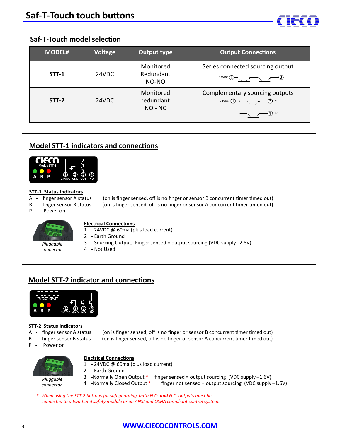

### **Saf-T-Touch model selection**

| <b>MODEL#</b> | Voltage | <b>Output type</b>                  | <b>Output Connections</b>                                                                   |
|---------------|---------|-------------------------------------|---------------------------------------------------------------------------------------------|
| STT-1         | 24VDC   | Monitored<br>Redundant<br>NO-NO     | Series connected sourcing output<br>24VDC $\rightarrow \rightarrow \rightarrow \rightarrow$ |
| <b>STT-2</b>  | 24VDC   | Monitored<br>redundant<br>$NO - NC$ | Complementary sourcing outputs<br>24VDC $\bigoplus$<br>$-$ (3) no<br>$ (4)$ NC              |

### **Model STT-1 indicators and connections**



### **STT-1 Status Indicators**

- 
- 
- 

A - finger sensor A status (on is finger sensed, off is no finger or sensor B concurrent timer timed out) B - finger sensor B status (on is finger sensed, off is no finger or sensor A concurrent timer timed out)

P - Power on



### *Pluggable connector.*

### **Electrical Connections**

- 1 24VDC @ 60ma (plus load current)
- 2 Earth Ground
	- 3 Sourcing Output, Finger sensed = output sourcing (VDC supply –2.8V) 4 - Not Used

### **Model STT-2 indicator and connections**



### **STT-2 Status Indicators**

- 
- 
- P Power on
- A finger sensor A status (on is finger sensed, off is no finger or sensor B concurrent timer timed out)
- B finger sensor B status (on is finger sensed, off is no finger or sensor A concurrent timer timed out)



*Pluggable connector.*

- **Electrical Connections**
- 1 24VDC @ 60ma (plus load current)
- 2 Earth Ground
- 3 -Normally Open Output \* finger sensed = output sourcing (VDC supply –1.6V)
- 4 -Normally Closed Output \* finger not sensed = output sourcing (VDC supply –1.6V)
- *\* When using the STT-2 buttons for safeguarding, both N.O. and N.C. outputs must be connected to a two-hand safety module or an ANSI and OSHA compliant control system.*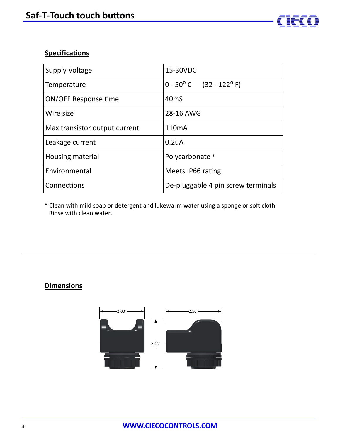## **Specifications**

| <b>Supply Voltage</b>         | 15-30VDC                                  |
|-------------------------------|-------------------------------------------|
| Temperature                   | $0 - 50^{\circ}$ C $(32 - 122^{\circ}$ F) |
| ON/OFF Response time          | 40 <sub>m</sub> S                         |
| Wire size                     | 28-16 AWG                                 |
| Max transistor output current | 110 <sub>m</sub> A                        |
| Leakage current               | 0.2 <sub>u</sub> A                        |
| Housing material              | Polycarbonate *                           |
| Environmental                 | Meets IP66 rating                         |
| Connections                   | De-pluggable 4 pin screw terminals        |

FU

\* Clean with mild soap or detergent and lukewarm water using a sponge or soft cloth. Rinse with clean water.

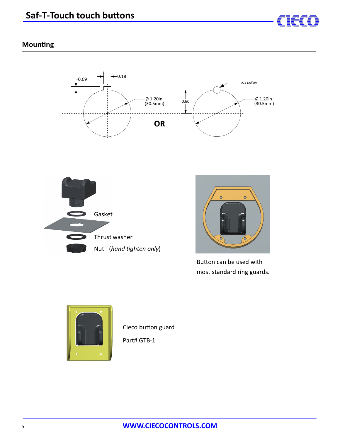

### **Mounting**







Button can be used with most standard ring guards.



Cieco button guard

Part# GTB-1